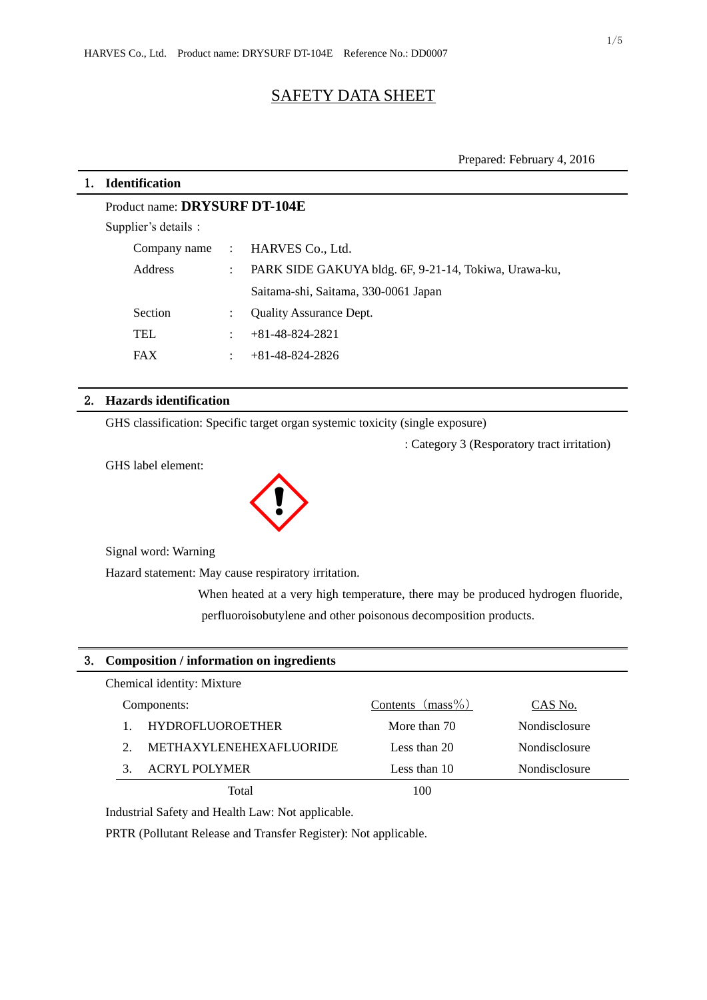# SAFETY DATA SHEET

# 1. **Identification**

| Product name: DRYSURF DT-104E |                      |                                                       |  |  |
|-------------------------------|----------------------|-------------------------------------------------------|--|--|
| Supplier's details :          |                      |                                                       |  |  |
|                               |                      | Company name : HARVES Co., Ltd.                       |  |  |
| Address                       | $\ddot{\phantom{0}}$ | PARK SIDE GAKUYA bldg. 6F, 9-21-14, Tokiwa, Urawa-ku, |  |  |
|                               |                      | Saitama-shi, Saitama, 330-0061 Japan                  |  |  |
| <b>Section</b>                |                      | <b>Ouality Assurance Dept.</b>                        |  |  |
| <b>TEL</b>                    | $\ddot{\phantom{0}}$ | $+81-48-824-2821$                                     |  |  |
| <b>FAX</b>                    | ٠                    | $+81-48-824-2826$                                     |  |  |

## 2. **Hazards identification**

GHS classification: Specific target organ systemic toxicity (single exposure)

: Category 3 (Resporatory tract irritation)

GHS label element:



Signal word: Warning

Hazard statement: May cause respiratory irritation.

When heated at a very high temperature, there may be produced hydrogen fluoride, perfluoroisobutylene and other poisonous decomposition products.

# 3. **Composition / information on ingredients**

| Chemical identity: Mixture     |                     |                      |
|--------------------------------|---------------------|----------------------|
| Components:                    | Contents $(mass\%)$ | CAS No.              |
| <b>HYDROFLUOROETHER</b>        | More than 70        | <b>Nondisclosure</b> |
| <b>METHAXYLENEHEXAFLUORIDE</b> | Less than 20        | Nondisclosure        |
| <b>ACRYL POLYMER</b>           | Less than 10        | Nondisclosure        |
| Total                          |                     |                      |

Industrial Safety and Health Law: Not applicable.

PRTR (Pollutant Release and Transfer Register): Not applicable.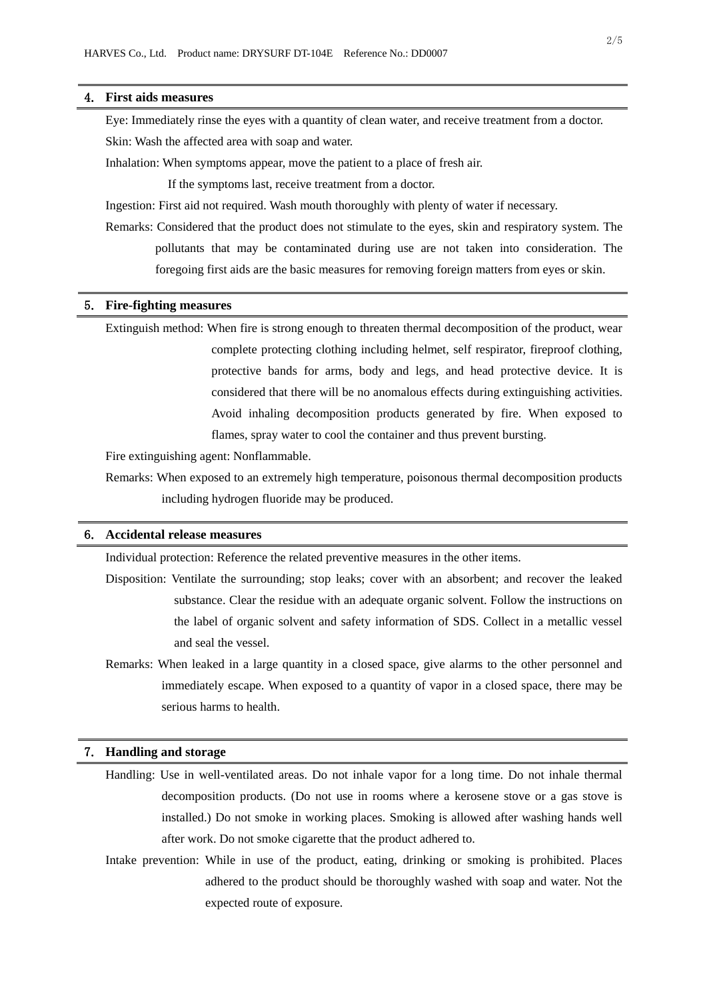## 4. **First aids measures**

Eye: Immediately rinse the eyes with a quantity of clean water, and receive treatment from a doctor. Skin: Wash the affected area with soap and water.

Inhalation: When symptoms appear, move the patient to a place of fresh air.

If the symptoms last, receive treatment from a doctor.

Ingestion: First aid not required. Wash mouth thoroughly with plenty of water if necessary.

Remarks: Considered that the product does not stimulate to the eyes, skin and respiratory system. The pollutants that may be contaminated during use are not taken into consideration. The foregoing first aids are the basic measures for removing foreign matters from eyes or skin.

# 5. **Fire-fighting measures**

Extinguish method: When fire is strong enough to threaten thermal decomposition of the product, wear complete protecting clothing including helmet, self respirator, fireproof clothing, protective bands for arms, body and legs, and head protective device. It is considered that there will be no anomalous effects during extinguishing activities. Avoid inhaling decomposition products generated by fire. When exposed to flames, spray water to cool the container and thus prevent bursting.

Fire extinguishing agent: Nonflammable.

Remarks: When exposed to an extremely high temperature, poisonous thermal decomposition products including hydrogen fluoride may be produced.

## 6. **Accidental release measures**

Individual protection: Reference the related preventive measures in the other items.

- Disposition: Ventilate the surrounding; stop leaks; cover with an absorbent; and recover the leaked substance. Clear the residue with an adequate organic solvent. Follow the instructions on the label of organic solvent and safety information of SDS. Collect in a metallic vessel and seal the vessel.
- Remarks: When leaked in a large quantity in a closed space, give alarms to the other personnel and immediately escape. When exposed to a quantity of vapor in a closed space, there may be serious harms to health.

## 7. **Handling and storage**

- Handling: Use in well-ventilated areas. Do not inhale vapor for a long time. Do not inhale thermal decomposition products. (Do not use in rooms where a kerosene stove or a gas stove is installed.) Do not smoke in working places. Smoking is allowed after washing hands well after work. Do not smoke cigarette that the product adhered to.
- Intake prevention: While in use of the product, eating, drinking or smoking is prohibited. Places adhered to the product should be thoroughly washed with soap and water. Not the expected route of exposure.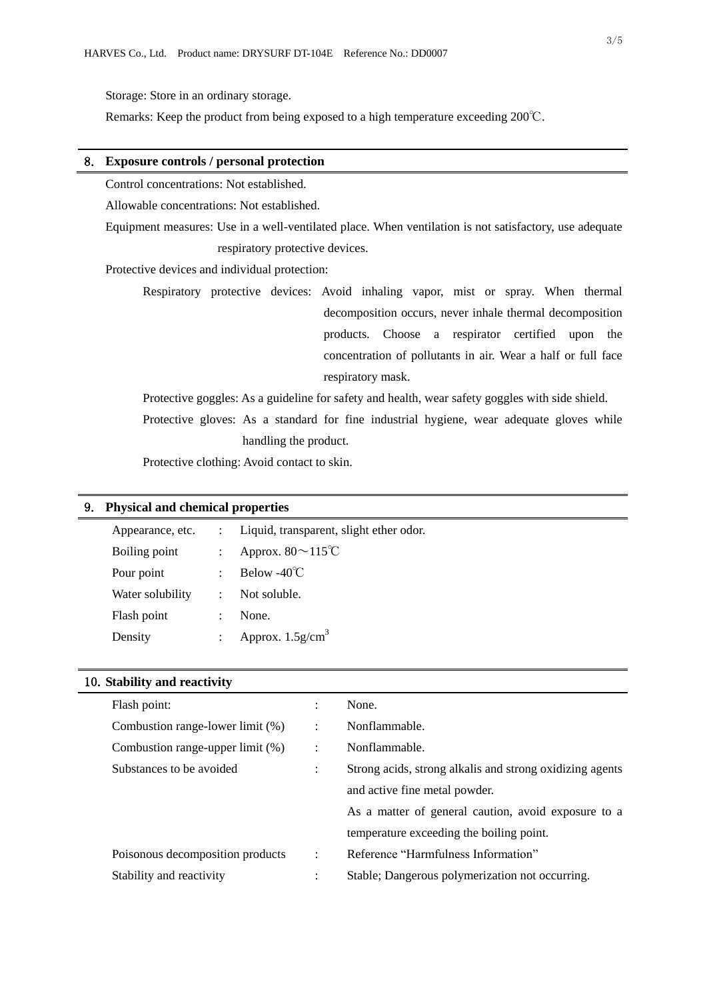Storage: Store in an ordinary storage.

Remarks: Keep the product from being exposed to a high temperature exceeding 200℃.

## 8. **Exposure controls / personal protection**

Control concentrations: Not established.

Allowable concentrations: Not established.

Equipment measures: Use in a well-ventilated place. When ventilation is not satisfactory, use adequate respiratory protective devices.

Protective devices and individual protection:

Respiratory protective devices: Avoid inhaling vapor, mist or spray. When thermal decomposition occurs, never inhale thermal decomposition products. Choose a respirator certified upon the concentration of pollutants in air. Wear a half or full face respiratory mask.

Protective goggles: As a guideline for safety and health, wear safety goggles with side shield. Protective gloves: As a standard for fine industrial hygiene, wear adequate gloves while handling the product.

Protective clothing: Avoid contact to skin.

#### 9. **Physical and chemical properties**

| Appearance, etc. | $\mathbb{R}^{\mathbb{Z}}$ | Liquid, transparent, slight ether odor. |
|------------------|---------------------------|-----------------------------------------|
| Boiling point    | $\ddot{\phantom{a}}$      | Approx. $80 \sim 115^{\circ}C$          |
| Pour point       | $\ddot{\phantom{a}}$      | Below -40 $\degree$ C                   |
| Water solubility | $\ddot{\phantom{a}}$      | Not soluble.                            |
| Flash point      | $\ddot{\cdot}$            | None.                                   |
| Density          | $\ddot{\cdot}$            | Approx. $1.5$ g/cm <sup>3</sup>         |

| 10. Stability and reactivity |  |  |
|------------------------------|--|--|
|------------------------------|--|--|

| Flash point:                     | ÷                    | None.                                                    |
|----------------------------------|----------------------|----------------------------------------------------------|
| Combustion range-lower limit (%) | $\ddot{\phantom{a}}$ | Nonflammable.                                            |
| Combustion range-upper limit (%) | $\ddot{\phantom{a}}$ | Nonflammable.                                            |
| Substances to be avoided         | ÷                    | Strong acids, strong alkalis and strong oxidizing agents |
|                                  |                      | and active fine metal powder.                            |
|                                  |                      | As a matter of general caution, avoid exposure to a      |
|                                  |                      | temperature exceeding the boiling point.                 |
| Poisonous decomposition products | $\ddot{\phantom{a}}$ | Reference "Harmfulness Information"                      |
| Stability and reactivity         |                      | Stable; Dangerous polymerization not occurring.          |
|                                  |                      |                                                          |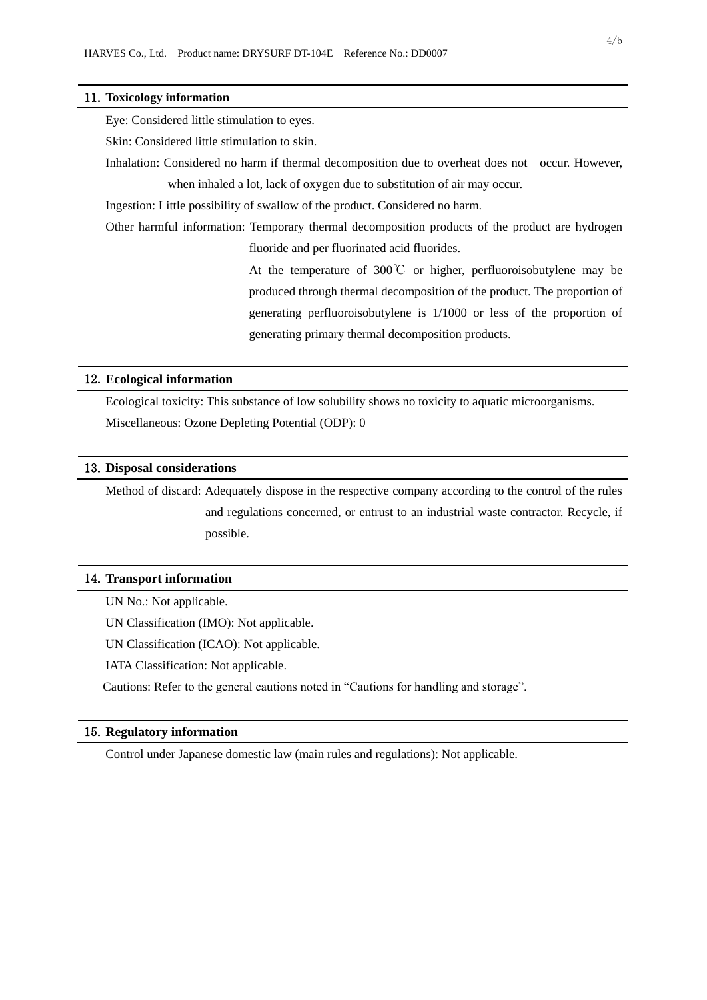#### 11.**Toxicology information**

Eye: Considered little stimulation to eyes.

Skin: Considered little stimulation to skin.

Inhalation: Considered no harm if thermal decomposition due to overheat does not occur. However, when inhaled a lot, lack of oxygen due to substitution of air may occur.

Ingestion: Little possibility of swallow of the product. Considered no harm.

Other harmful information: Temporary thermal decomposition products of the product are hydrogen fluoride and per fluorinated acid fluorides.

> At the temperature of 300℃ or higher, perfluoroisobutylene may be produced through thermal decomposition of the product. The proportion of generating perfluoroisobutylene is 1/1000 or less of the proportion of generating primary thermal decomposition products.

### 12.**Ecological information**

Ecological toxicity: This substance of low solubility shows no toxicity to aquatic microorganisms. Miscellaneous: Ozone Depleting Potential (ODP): 0

### 13.**Disposal considerations**

Method of discard: Adequately dispose in the respective company according to the control of the rules and regulations concerned, or entrust to an industrial waste contractor. Recycle, if possible.

#### 14.**Transport information**

UN No.: Not applicable.

UN Classification (IMO): Not applicable.

UN Classification (ICAO): Not applicable.

IATA Classification: Not applicable.

Cautions: Refer to the general cautions noted in "Cautions for handling and storage".

#### 15.**Regulatory information**

Control under Japanese domestic law (main rules and regulations): Not applicable.